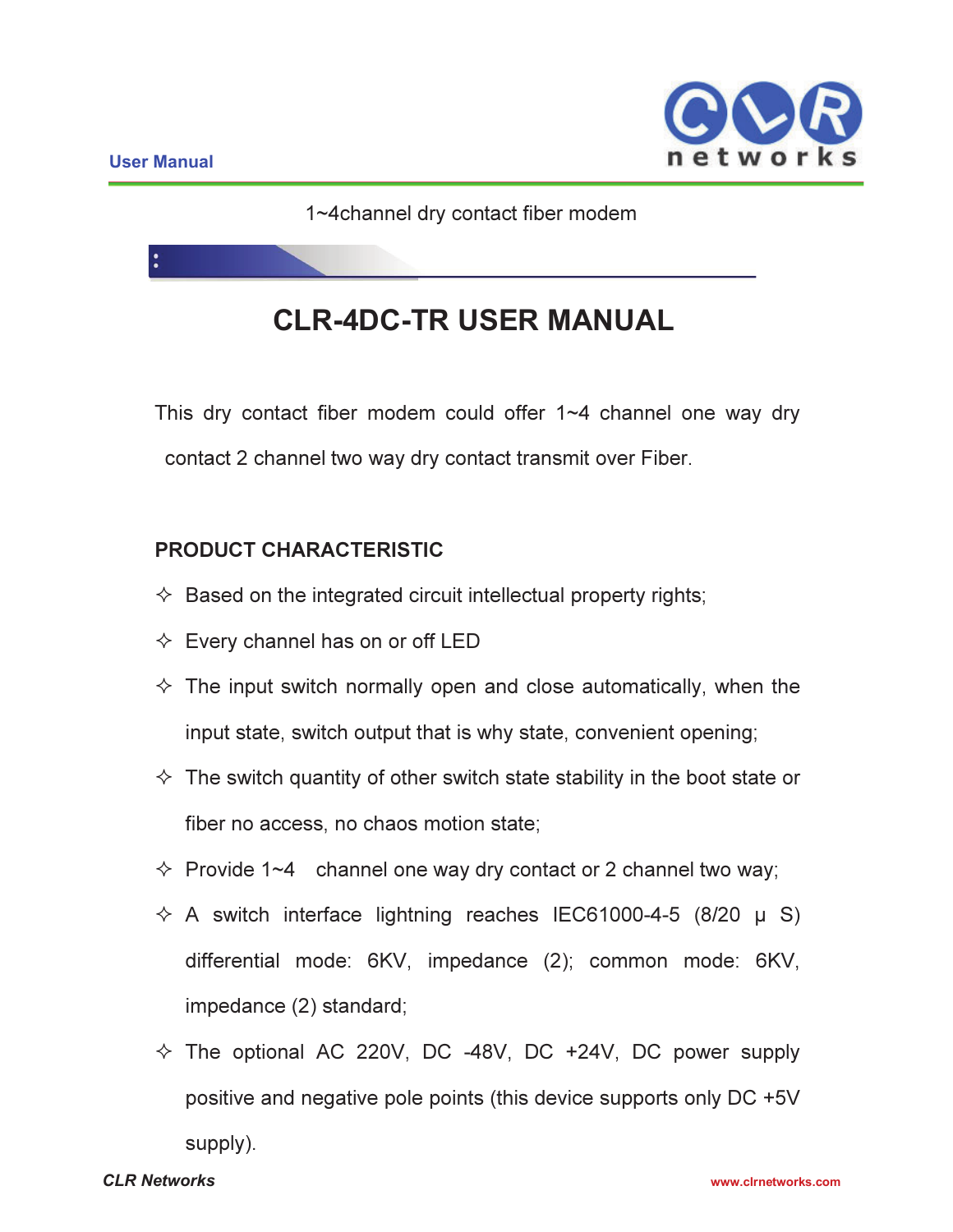j



1~4channel dry contact fiber modem

# **CLR-4DC-TR USER MANUAL**

This dry contact fiber modem could offer 1~4 channel one way dry contact 2 channel two way dry contact transmit over Fiber.

# PRODUCT CHARACTERISTIC

- $\Diamond$  Based on the integrated circuit intellectual property rights;
- $\Diamond$  Every channel has on or off LED
- $\Diamond$  The input switch normally open and close automatically, when the input state, switch output that is why state, convenient opening;
- $\Diamond$  The switch quantity of other switch state stability in the boot state or fiber no access, no chaos motion state;
- $\div$  Provide 1~4 channel one way dry contact or 2 channel two way;
- $\div$  A switch interface lightning reaches IEC61000-4-5 (8/20  $\mu$  S) differential mode: 6KV, impedance (2); common mode: 6KV, impedance (2) standard;
- $\div$  The optional AC 220V, DC -48V, DC +24V, DC power supply positive and negative pole points (this device supports only DC +5V supply).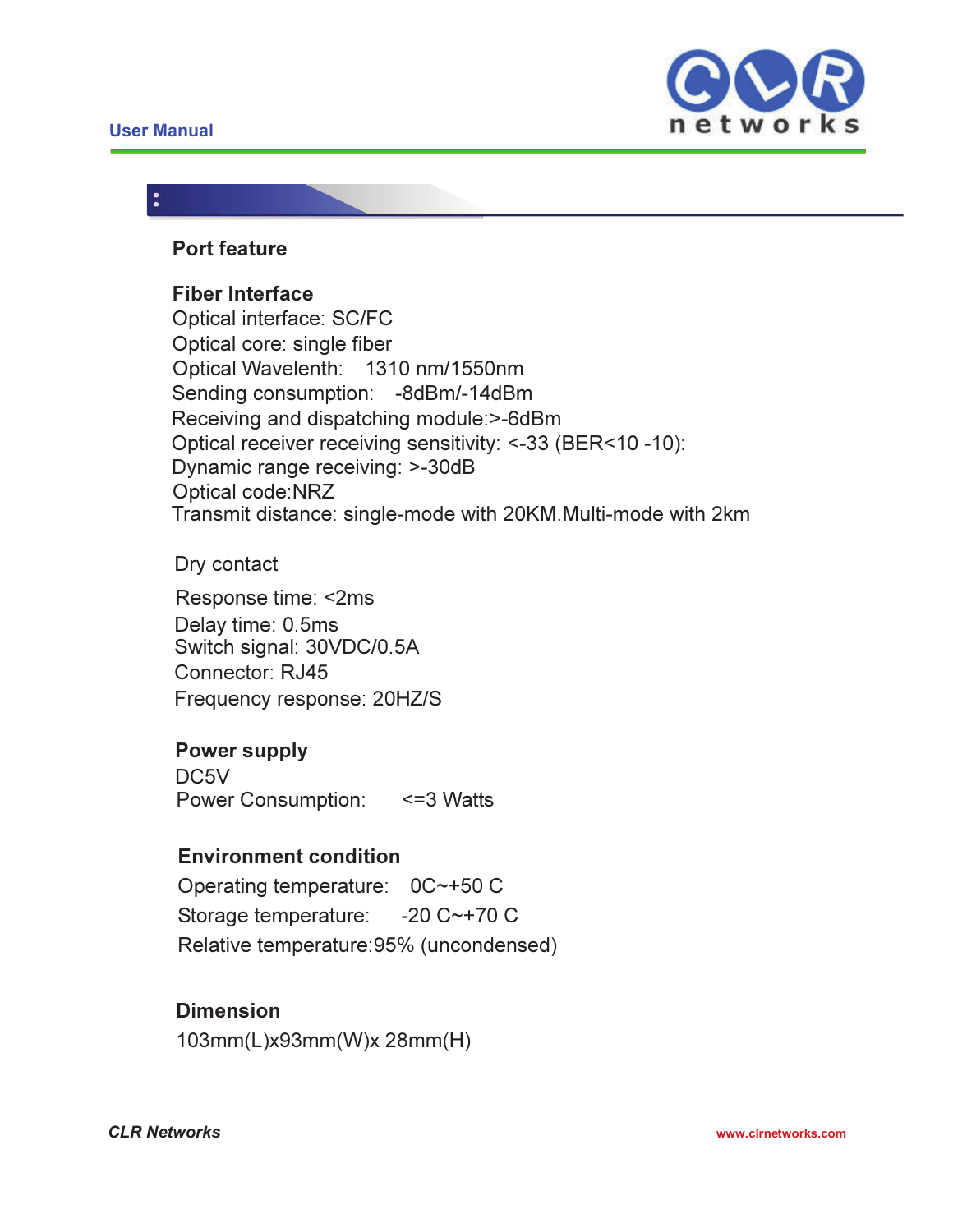# **User Manual**



#### Port feature

#### Fiber Interface

Optical interface: SC/FC Optical core: single fiber Optical Wavelenth: 1310 nm/1550nm Sending consumption: -8dBm/-14dBm Receiving and dispatching module:>-6dBm Optical receiver receiving sensitivity: <-33 (BER<10 -10): Dynamic range receiving: >-30dB Optical code:NRZ Transmit distance: single-mode with 20KM.Multi-mode with 2km

#### Dry contact

Response time: <2ms Delay time: 0.5ms Switch signal: 30VDC/0.5A Connector: RJ45 Frequency response: 20HZ/S

#### Power supply

DC<sub>5</sub>V Power Consumption: <= 3 Watts

#### Environment condition

Operating temperature: 0C~+50 C Storage temperature: -20 C~+70 C Relative temperature:95% (uncondensed)

# Dimension

103mm(L)x93mm(W)x 28mm(H)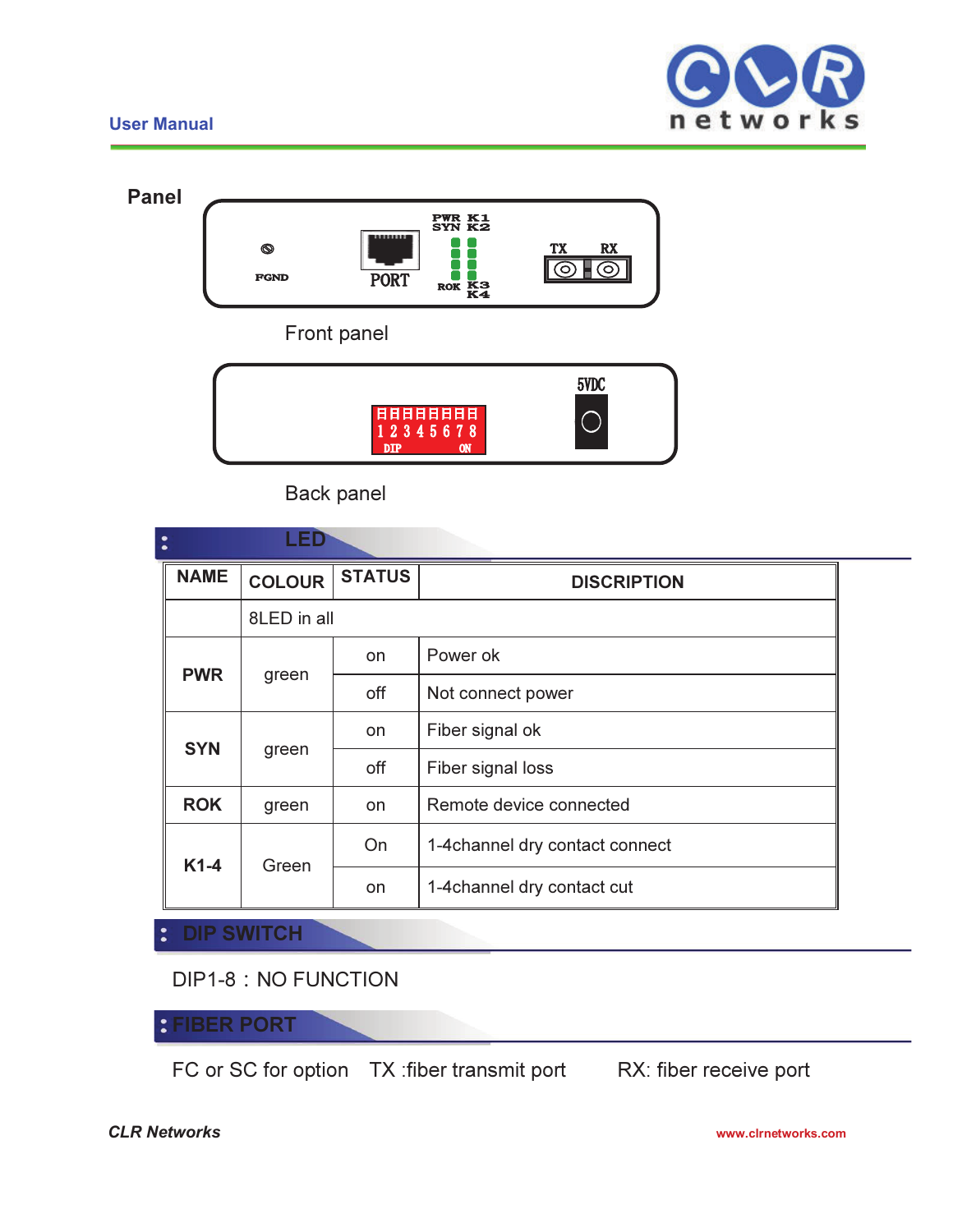### **User Manual**





Back panel

| LED<br>$\bullet$<br>$\bullet$ |               |               |                                 |  |  |  |  |  |
|-------------------------------|---------------|---------------|---------------------------------|--|--|--|--|--|
| <b>NAME</b>                   | <b>COLOUR</b> | <b>STATUS</b> | <b>DISCRIPTION</b>              |  |  |  |  |  |
|                               | 8LED in all   |               |                                 |  |  |  |  |  |
| <b>PWR</b>                    | green         | on            | Power ok                        |  |  |  |  |  |
|                               |               | off           | Not connect power               |  |  |  |  |  |
| <b>SYN</b>                    | green         | on            | Fiber signal ok                 |  |  |  |  |  |
|                               |               | off           | Fiber signal loss               |  |  |  |  |  |
| <b>ROK</b>                    | green         | on            | Remote device connected         |  |  |  |  |  |
| $K1-4$                        | Green         | On            | 1-4 channel dry contact connect |  |  |  |  |  |
|                               |               | on            | 1-4 channel dry contact cut     |  |  |  |  |  |
| <b>BURGHAIRAIL</b>            |               |               |                                 |  |  |  |  |  |

DIP1-8: NO FUNCTION

**SWITCH** 

FIBER PORT  $\ddot{\bullet}$ 

FC or SC for option TX :fiber transmit port RX: fiber receive port